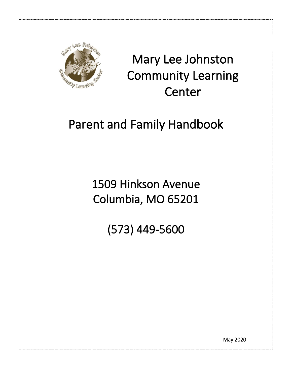

Mary Lee Johnston Community Learning Center

# Parent and Family Handbook

1509 Hinkson Avenue Columbia, MO 65201

(573) 449-5600

May 2020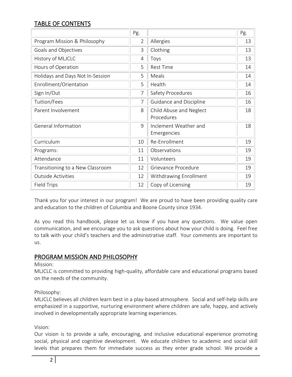# TABLE OF CONTENTS

|                                  | Pg.            |                                       | Pg. |
|----------------------------------|----------------|---------------------------------------|-----|
| Program Mission & Philosophy     | $\overline{2}$ | Allergies                             | 13  |
| Goals and Objectives             | 3              | Clothing                              | 13  |
| History of MLJCLC                | 4              | Toys                                  | 13  |
| Hours of Operation               | 5              | <b>Rest Time</b>                      | 14  |
| Holidays and Days Not In-Session | 5              | Meals                                 | 14  |
| Enrollment/Orientation           | 5              | Health                                | 14  |
| Sign In/Out                      | 7              | Safety Procedures                     | 16  |
| Tuition/Fees                     | 7              | Guidance and Discipline               | 16  |
| Parent Involvement               | 8              | Child Abuse and Neglect<br>Procedures | 18  |
| General Information              | 9              | Inclement Weather and<br>Emergencies  | 18  |
| Curriculum                       | 10             | Re-Enrollment                         | 19  |
| Programs:                        | 11             | Observations                          | 19  |
| Attendance                       | 11             | Volunteers                            | 19  |
| Transitioning to a New Classroom | 12             | Grievance Procedure                   | 19  |
| <b>Outside Activities</b>        | 12             | Withdrawing Enrollment                | 19  |
| <b>Field Trips</b>               | 12             | Copy of Licensing                     | 19  |

Thank you for your interest in our program! We are proud to have been providing quality care and education to the children of Columbia and Boone County since 1934.

As you read this handbook, please let us know if you have any questions. We value open communication, and we encourage you to ask questions about how your child is doing. Feel free to talk with your child's teachers and the administrative staff. Your comments are important to us.

# PROGRAM MISSION AND PHILOSOPHY

Mission:

MLJCLC is committed to providing high-quality, affordable care and educational programs based on the needs of the community.

Philosophy:

MLJCLC believes all children learn best in a play-based atmosphere. Social and self-help skills are emphasized in a supportive, nurturing environment where children are safe, happy, and actively involved in developmentally appropriate learning experiences.

Vision:

Our vision is to provide a safe, encouraging, and inclusive educational experience promoting social, physical and cognitive development. We educate children to academic and social skill levels that prepares them for immediate success as they enter grade school. We provide a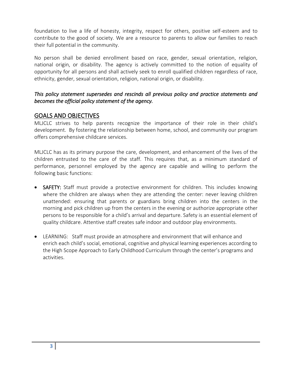foundation to live a life of honesty, integrity, respect for others, positive self-esteem and to contribute to the good of society. We are a resource to parents to allow our families to reach their full potential in the community.

No person shall be denied enrollment based on race, gender, sexual orientation, religion, national origin, or disability. The agency is actively committed to the notion of equality of opportunity for all persons and shall actively seek to enroll qualified children regardless of race, ethnicity, gender, sexual orientation, religion, national origin, or disability.

## *This policy statement supersedes and rescinds all previous policy and practice statements and becomes the official policy statement of the agency.*

# GOALS AND OBJECTIVES

MLJCLC strives to help parents recognize the importance of their role in their child's development. By fostering the relationship between home, school, and community our program offers comprehensive childcare services.

MLJCLC has as its primary purpose the care, development, and enhancement of the lives of the children entrusted to the care of the staff. This requires that, as a minimum standard of performance, personnel employed by the agency are capable and willing to perform the following basic functions:

- **SAFETY:** Staff must provide a protective environment for children. This includes knowing where the children are always when they are attending the center: never leaving children unattended: ensuring that parents or guardians bring children into the centers in the morning and pick children up from the centers in the evening or authorize appropriate other persons to be responsible for a child's arrival and departure. Safety is an essential element of quality childcare. Attentive staff creates safe indoor and outdoor play environments.
- LEARNING: Staff must provide an atmosphere and environment that will enhance and enrich each child's social, emotional, cognitive and physical learning experiences according to the High Scope Approach to Early Childhood Curriculum through the center's programs and activities.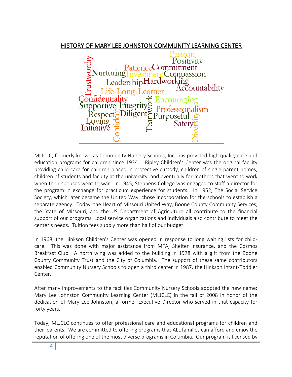# HISTORY OF MARY LEE JOHNSTON COMMUNITY LEARNING CENTER



MLJCLC, formerly known as Community Nursery Schools, Inc. has provided high quality care and education programs for children since 1934. Ripley Children's Center was the original facility providing child-care for children placed in protective custody, children of single parent homes, children of students and faculty at the university, and eventually for mothers that went to work when their spouses went to war. In 1945, Stephens College was engaged to staff a director for the program in exchange for practicum experience for students. In 1952, The Social Service Society, which later became the United Way, chose incorporation for the schools to establish a separate agency. Today, the Heart of Missouri United Way, Boone County Community Services, the State of Missouri, and the US Department of Agriculture all contribute to the financial support of our programs. Local service organizations and individuals also contribute to meet the center's needs. Tuition fees supply more than half of our budget.

In 1968, the Hinkson Children's Center was opened in response to long waiting lists for childcare. This was done with major assistance from MFA, Shelter Insurance, and the Cosmos Breakfast Club. A north wing was added to the building in 1978 with a gift from the Boone County Community Trust and the City of Columbia. The support of these same contributors enabled Community Nursery Schools to open a third center in 1987, the Hinkson Infant/Toddler Center.

After many improvements to the facilities Community Nursery Schools adopted the new name: Mary Lee Johnston Community Learning Center (MLJCLC) in the fall of 2008 in honor of the dedication of Mary Lee Johnston, a former Executive Director who served in that capacity for forty years.

Today, MLJCLC continues to offer professional care and educational programs for children and their parents. We are committed to offering programs that ALL families can afford and enjoy the reputation of offering one of the most diverse programs in Columbia. Our program is licensed by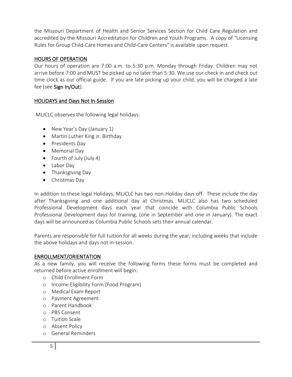the Missouri Department of Health and Senior Services Section for Child Care Regulation and accredited by the Missouri Accreditation for Children and Youth Programs. A copy of "Licensing Rules for Group Child-Care Homes and Child-Care Centers" is available upon request.

## HOURS OF OPERATION

Our hours of operation are 7:00 a.m. to 5:30 p.m. Monday through Friday. Children may not arrive before 7:00 and MUST be picked up no later than 5:30. We use our check in and check out time clock as our official guide. If you are late picking up your child, you will be charged a late fee (see Sign In/Out).

## HOLIDAYS and Days Not In-Session

MLJCLC observes the following legal holidays:

- New Year's Day (January 1)
- Martin Luther King Jr. Birthday
- Presidents Day
- Memorial Day
- Fourth of July (July 4)
- Labor Day
- Thanksgiving Day
- Christmas Day

In addition to these legal Holidays, MLJCLC has two non-Holiday days off. These include the day after Thanksgiving and one additional day at Christmas. MLJCLC also has two scheduled Professional Development days each year that coincide with Columbia Public Schools Professional Development days for training, (one in September and one in January). The exact days will be announced as Columbia Public Schools sets their annual calendar.

Parents are responsible for full tuition for all weeks during the year, including weeks that include the above holidays and days not in-session.

## ENROLLMENT/ORIENTATION

As a new family, you will receive the following forms these forms must be completed and returned before active enrollment will begin:

- o Child Enrollment Form
- o Income Eligibility Form (Food Program)
- o Medical Exam Report
- o Payment Agreement
- o Parent Handbook
- o PBS Consent
- o Tuition Scale
- o Absent Policy
- o General Reminders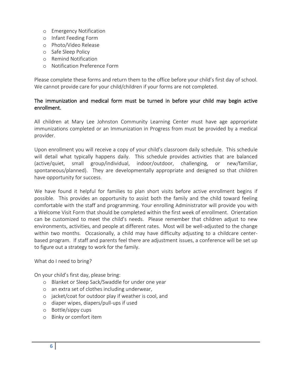- o Emergency Notification
- o Infant Feeding Form
- o Photo/Video Release
- o Safe Sleep Policy
- o Remind Notification
- o Notification Preference Form

Please complete these forms and return them to the office before your child's first day of school. We cannot provide care for your child/children if your forms are not completed.

## The immunization and medical form must be turned in before your child may begin active enrollment.

All children at Mary Lee Johnston Community Learning Center must have age appropriate immunizations completed or an Immunization in Progress from must be provided by a medical provider.

Upon enrollment you will receive a copy of your child's classroom daily schedule. This schedule will detail what typically happens daily. This schedule provides activities that are balanced (active/quiet, small group/individual, indoor/outdoor, challenging, or new/familiar, spontaneous/planned). They are developmentally appropriate and designed so that children have opportunity for success.

We have found it helpful for families to plan short visits before active enrollment begins if possible. This provides an opportunity to assist both the family and the child toward feeling comfortable with the staff and programming. Your enrolling Administrator will provide you with a Welcome Visit Form that should be completed within the first week of enrollment. Orientation can be customized to meet the child's needs. Please remember that children adjust to new environments, activities, and people at different rates. Most will be well-adjusted to the change within two months. Occasionally, a child may have difficulty adjusting to a childcare centerbased program. If staff and parents feel there are adjustment issues, a conference will be set up to figure out a strategy to work for the family.

What do I need to bring?

On your child's first day, please bring:

- o Blanket or Sleep Sack/Swaddle for under one year
- o an extra set of clothes including underwear,
- o jacket/coat for outdoor play if weather is cool, and
- o diaper wipes, diapers/pull-ups if used
- o Bottle/sippy cups
- o Binky or comfort item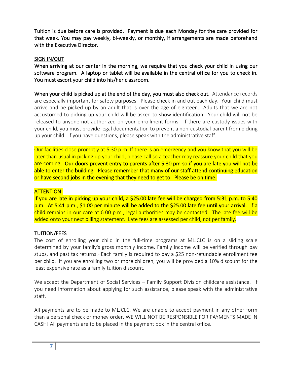Tuition is due before care is provided. Payment is due each Monday for the care provided for that week. You may pay weekly, bi-weekly, or monthly, if arrangements are made beforehand with the Executive Director.

## SIGN IN/OUT

When arriving at our center in the morning, we require that you check your child in using our software program. A laptop or tablet will be available in the central office for you to check in. You must escort your child into his/her classroom.

When your child is picked up at the end of the day, you must also check out. Attendance records are especially important for safety purposes. Please check in and out each day. Your child must arrive and be picked up by an adult that is over the age of eighteen. Adults that we are not accustomed to picking up your child will be asked to show identification. Your child will not be released to anyone not authorized on your enrollment forms. If there are custody issues with your child, you must provide legal documentation to prevent a non-custodial parent from picking up your child. If you have questions, please speak with the administrative staff.

Our facilities close promptly at 5:30 p.m. If there is an emergency and you know that you will be later than usual in picking up your child, please call so a teacher may reassure your child that you are coming. Our doors prevent entry to parents after 5:30 pm so if you are late you will not be able to enter the building. Please remember that many of our staff attend continuing education or have second jobs in the evening that they need to get to. Please be on time.

## ATTENTION:

If you are late in picking up your child, a \$25.00 late fee will be charged from 5:31 p.m. to 5:40 p.m. At 5:41 p.m., \$1.00 per minute will be added to the \$25.00 late fee until your arrival. If a child remains in our care at 6:00 p.m., legal authorities may be contacted. The late fee will be added onto your next billing statement. Late fees are assessed per child, not per family.

## TUITION/FEES

The cost of enrolling your child in the full-time programs at MLJCLC is on a sliding scale determined by your family's gross monthly income. Family income will be verified through pay stubs, and past tax returns. Each family is required to pay a \$25 non-refundable enrollment fee per child. If you are enrolling two or more children, you will be provided a 10% discount for the least expensive rate as a family tuition discount.

We accept the Department of Social Services – Family Support Division childcare assistance. If you need information about applying for such assistance, please speak with the administrative staff.

All payments are to be made to MLJCLC. We are unable to accept payment in any other form than a personal check or money order. WE WILL NOT BE RESPONSIBLE FOR PAYMENTS MADE IN CASH! All payments are to be placed in the payment box in the central office.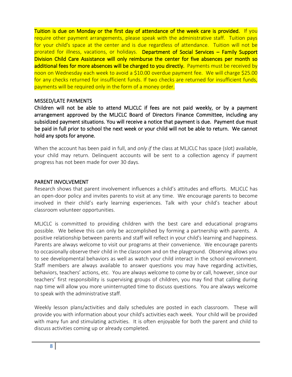Tuition is due on Monday or the first day of attendance of the week care is provided. If you require other payment arrangements, please speak with the administrative staff. Tuition pays for your child's space at the center and is due regardless of attendance. Tuition will not be prorated for illness, vacations, or holidays. Department of Social Services – Family Support Division Child Care Assistance will only reimburse the center for five absences per month so additional fees for more absences will be charged to you directly. Payments must be received by noon on Wednesday each week to avoid a \$10.00 overdue payment fee. We will charge \$25.00 for any checks returned for insufficient funds. If two checks are returned for insufficient funds, payments will be required only in the form of a money order.

#### MISSED/LATE PAYMENTS

Children will not be able to attend MLJCLC if fees are not paid weekly, or by a payment arrangement approved by the MLJCLC Board of Directors Finance Committee, including any subsidized payment situations. You will receive a notice that payment is due. Payment due must be paid in full prior to school the next week or your child will not be able to return. We cannot hold any spots for anyone.

When the account has been paid in full, and *only if* the class at MLJCLC has space (slot) available, your child may return. Delinquent accounts will be sent to a collection agency if payment progress has not been made for over 30 days.

#### PARENT INVOLVEMENT

Research shows that parent involvement influences a child's attitudes and efforts. MLJCLC has an open-door policy and invites parents to visit at any time. We encourage parents to become involved in their child's early learning experiences. Talk with your child's teacher about classroom volunteer opportunities.

MLJCLC is committed to providing children with the best care and educational programs possible. We believe this can only be accomplished by forming a partnership with parents. A positive relationship between parents and staff will reflect in your child's learning and happiness. Parents are always welcome to visit our programs at their convenience. We encourage parents to occasionally observe their child in the classroom and on the playground. Observing allows you to see developmental behaviors as well as watch your child interact in the school environment. Staff members are always available to answer questions you may have regarding activities, behaviors, teachers' actions, etc. You are always welcome to come by or call, however, since our teachers' first responsibility is supervising groups of children, you may find that calling during nap time will allow you more uninterrupted time to discuss questions. You are always welcome to speak with the administrative staff.

Weekly lesson plans/activities and daily schedules are posted in each classroom. These will provide you with information about your child's activities each week. Your child will be provided with many fun and stimulating activities. It is often enjoyable for both the parent and child to discuss activities coming up or already completed.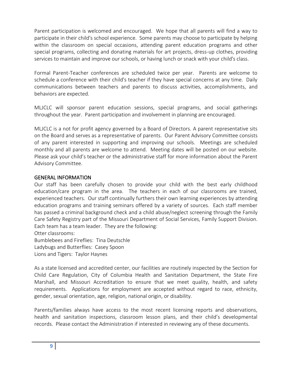Parent participation is welcomed and encouraged. We hope that all parents will find a way to participate in their child's school experience. Some parents may choose to participate by helping within the classroom on special occasions, attending parent education programs and other special programs, collecting and donating materials for art projects, dress-up clothes, providing services to maintain and improve our schools, or having lunch or snack with your child's class.

Formal Parent-Teacher conferences are scheduled twice per year. Parents are welcome to schedule a conference with their child's teacher if they have special concerns at any time. Daily communications between teachers and parents to discuss activities, accomplishments, and behaviors are expected.

MLJCLC will sponsor parent education sessions, special programs, and social gatherings throughout the year. Parent participation and involvement in planning are encouraged.

MLJCLC is a not for profit agency governed by a Board of Directors. A parent representative sits on the Board and serves as a representative of parents. Our Parent Advisory Committee consists of any parent interested in supporting and improving our schools. Meetings are scheduled monthly and all parents are welcome to attend. Meeting dates will be posted on our website. Please ask your child's teacher or the administrative staff for more information about the Parent Advisory Committee.

## GENERAL INFORMATION

Our staff has been carefully chosen to provide your child with the best early childhood education/care program in the area. The teachers in each of our classrooms are trained, experienced teachers. Our staff continually furthers their own learning experiences by attending education programs and training seminars offered by a variety of sources. Each staff member has passed a criminal background check and a child abuse/neglect screening through the Family Care Safety Registry part of the Missouri Department of Social Services, Family Support Division. Each team has a team leader. They are the following: Otter classrooms:

Bumblebees and Fireflies: Tina Deutschle Ladybugs and Butterflies: Casey Spoon Lions and Tigers: Taylor Haynes

As a state licensed and accredited center, our facilities are routinely inspected by the Section for Child Care Regulation, City of Columbia Health and Sanitation Department, the State Fire Marshall, and Missouri Accreditation to ensure that we meet quality, health, and safety requirements. Applications for employment are accepted without regard to race, ethnicity, gender, sexual orientation, age, religion, national origin, or disability.

Parents/families always have access to the most recent licensing reports and observations, health and sanitation inspections, classroom lesson plans, and their child's developmental records. Please contact the Administration if interested in reviewing any of these documents.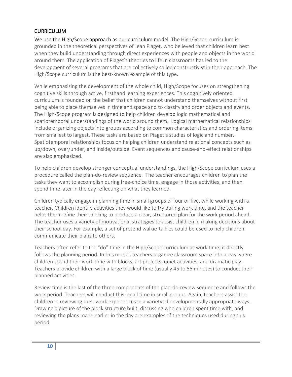## **CURRICULUM**

We use the High/Scope approach as our curriculum model. The High/Scope curriculum is grounded in the theoretical perspectives of Jean Piaget, who believed that children learn best when they build understanding through direct experiences with people and objects in the world around them. The application of Piaget's theories to life in classrooms has led to the development of several programs that are collectively called constructivist in their approach. The High/Scope curriculum is the best-known example of this type.

While emphasizing the development of the whole child, High/Scope focuses on strengthening cognitive skills through active, firsthand learning experiences. This cognitively oriented curriculum is founded on the belief that children cannot understand themselves without first being able to place themselves in time and space and to classify and order objects and events. The High/Scope program is designed to help children develop logic mathematical and spatiotemporal understandings of the world around them. Logical mathematical relationships include organizing objects into groups according to common characteristics and ordering items from smallest to largest. These tasks are based on Piaget's studies of logic and number. Spatiotemporal relationships focus on helping children understand relational concepts such as up/down, over/under, and inside/outside. Event sequences and cause-and-effect relationships are also emphasized.

To help children develop stronger conceptual understandings, the High/Scope curriculum uses a procedure called the plan-do-review sequence. The teacher encourages children to plan the tasks they want to accomplish during free-choice time, engage in those activities, and then spend time later in the day reflecting on what they learned.

Children typically engage in planning time in small groups of four or five, while working with a teacher. Children identify activities they would like to try during work time, and the teacher helps them refine their thinking to produce a clear, structured plan for the work period ahead. The teacher uses a variety of motivational strategies to assist children in making decisions about their school day. For example, a set of pretend walkie-talkies could be used to help children communicate their plans to others.

Teachers often refer to the "do" time in the High/Scope curriculum as work time; it directly follows the planning period. In this model, teachers organize classroom space into areas where children spend their work time with blocks, art projects, quiet activities, and dramatic play. Teachers provide children with a large block of time (usually 45 to 55 minutes) to conduct their planned activities.

Review time is the last of the three components of the plan-do-review sequence and follows the work period. Teachers will conduct this recall time in small groups. Again, teachers assist the children in reviewing their work experiences in a variety of developmentally appropriate ways. Drawing a picture of the block structure built, discussing who children spent time with, and reviewing the plans made earlier in the day are examples of the techniques used during this period.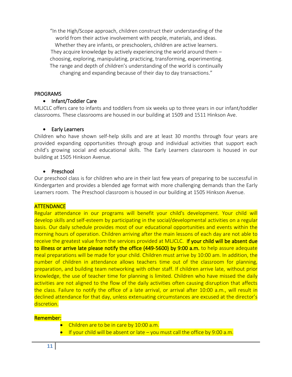"In the High/Scope approach, children construct their understanding of the world from their active involvement with people, materials, and ideas. Whether they are infants, or preschoolers, children are active learners. They acquire knowledge by actively experiencing the world around them – choosing, exploring, manipulating, practicing, transforming, experimenting. The range and depth of children's understanding of the world is continually changing and expanding because of their day to day transactions."

#### PROGRAMS

#### • Infant/Toddler Care

MLJCLC offers care to infants and toddlers from six weeks up to three years in our infant/toddler classrooms. These classrooms are housed in our building at 1509 and 1511 Hinkson Ave.

#### • Early Learners

Children who have shown self-help skills and are at least 30 months through four years are provided expanding opportunities through group and individual activities that support each child's growing social and educational skills. The Early Learners classroom is housed in our building at 1505 Hinkson Avenue.

#### • Preschool

Our preschool class is for children who are in their last few years of preparing to be successful in Kindergarten and provides a blended age format with more challenging demands than the Early Learners room. The Preschool classroom is housed in our building at 1505 Hinkson Avenue.

#### **ATTENDANCE**

Regular attendance in our programs will benefit your child's development. Your child will develop skills and self-esteem by participating in the social/developmental activities on a regular basis. Our daily schedule provides most of our educational opportunities and events within the morning hours of operation. Children arriving after the main lessons of each day are not able to receive the greatest value from the services provided at MLJCLC. If your child will be absent due to illness or arrive late please notify the office (449-5600) by 9:00 a.m. to help assure adequate meal preparations will be made for your child. Children must arrive by 10:00 am. In addition, the number of children in attendance allows teachers time out of the classroom for planning, preparation, and building team networking with other staff. If children arrive late, without prior knowledge, the use of teacher time for planning is limited. Children who have missed the daily activities are not aligned to the flow of the daily activities often causing disruption that affects the class. Failure to notify the office of a late arrival, or arrival after 10:00 a.m., will result in declined attendance for that day, unless extenuating circumstances are excused at the director's discretion.

#### Remember:

- Children are to be in care by 10:00 a.m.
- If your child will be absent or late you must call the office by 9:00 a.m.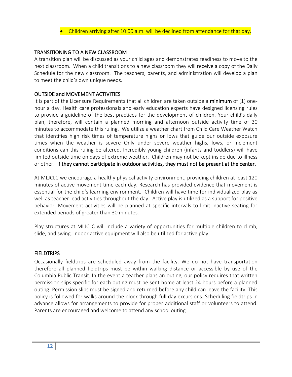• Children arriving after 10:00 a.m. will be declined from attendance for that day.

#### TRANSITIONING TO A NEW CLASSROOM

A transition plan will be discussed as your child ages and demonstrates readiness to move to the next classroom. When a child transitions to a new classroom they will receive a copy of the Daily Schedule for the new classroom. The teachers, parents, and administration will develop a plan to meet the child's own unique needs.

#### OUTSIDE and MOVEMENT ACTIVITIES

It is part of the Licensure Requirements that all children are taken outside a minimum of (1) onehour a day. Health care professionals and early education experts have designed licensing rules to provide a guideline of the best practices for the development of children. Your child's daily plan, therefore, will contain a planned morning and afternoon outside activity time of 30 minutes to accommodate this ruling. We utilize a weather chart from Child Care Weather Watch that identifies high risk times of temperature highs or lows that guide our outside exposure times when the weather is severe Only under severe weather highs, lows, or inclement conditions can this ruling be altered. Incredibly young children (infants and toddlers) will have limited outside time on days of extreme weather. Children may not be kept inside due to illness or other. If they cannot participate in outdoor activities, they must not be present at the center.

At MLJCLC we encourage a healthy physical activity environment, providing children at least 120 minutes of active movement time each day. Research has provided evidence that movement is essential for the child's learning environment. Children will have time for individualized play as well as teacher lead activities throughout the day. Active play is utilized as a support for positive behavior. Movement activities will be planned at specific intervals to limit inactive seating for extended periods of greater than 30 minutes.

Play structures at MLJCLC will include a variety of opportunities for multiple children to climb, slide, and swing. Indoor active equipment will also be utilized for active play.

#### **FIELDTRIPS**

Occasionally fieldtrips are scheduled away from the facility. We do not have transportation therefore all planned fieldtrips must be within walking distance or accessible by use of the Columbia Public Transit. In the event a teacher plans an outing, our policy requires that written permission slips specific for each outing must be sent home at least 24 hours before a planned outing. Permission slips must be signed and returned before any child can leave the facility. This policy is followed for walks around the block through full day excursions. Scheduling fieldtrips in advance allows for arrangements to provide for proper additional staff or volunteers to attend. Parents are encouraged and welcome to attend any school outing.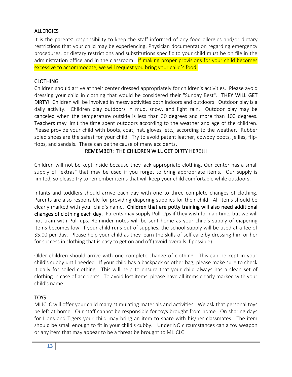## **ALLERGIES**

It is the parents' responsibility to keep the staff informed of any food allergies and/or dietary restrictions that your child may be experiencing. Physician documentation regarding emergency procedures, or dietary restrictions and substitutions specific to your child must be on file in the administration office and in the classroom. If making proper provisions for your child becomes excessive to accommodate, we will request you bring your child's food.

## CLOTHING

Children should arrive at their center dressed appropriately for children's activities. Please avoid dressing your child in clothing that would be considered their "Sunday Best". THEY WILL GET DIRTY! Children will be involved in messy activities both indoors and outdoors. Outdoor play is a daily activity. Children play outdoors in mud, snow, and light rain. Outdoor play may be canceled when the temperature outside is less than 30 degrees and more than 100-degrees. Teachers may limit the time spent outdoors according to the weather and age of the children. Please provide your child with boots, coat, hat, gloves, etc., according to the weather. Rubber soled shoes are the safest for your child. Try to avoid patent leather, cowboy boots, jellies, flipflops, and sandals. These can be the cause of many accidents.

## REMEMBER: THE CHILDREN WILL GET DIRTY HERE!!!

Children will not be kept inside because they lack appropriate clothing. Our center has a small supply of "extras" that may be used if you forget to bring appropriate items. Our supply is limited, so please try to remember items that will keep your child comfortable while outdoors.

Infants and toddlers should arrive each day with one to three complete changes of clothing. Parents are also responsible for providing diapering supplies for their child. All items should be clearly marked with your child's name. Children that are potty training will also need additional changes of clothing each day. Parents may supply Pull-Ups if they wish for nap time, but we will not train with Pull ups. Reminder notes will be sent home as your child's supply of diapering items becomes low. If your child runs out of supplies, the school supply will be used at a fee of \$5.00 per day. Please help your child as they learn the skills of self care by dressing him or her for success in clothing that is easy to get on and off (avoid overalls if possible).

Older children should arrive with one complete change of clothing. This can be kept in your child's cubby until needed. If your child has a backpack or other bag, please make sure to check it daily for soiled clothing. This will help to ensure that your child always has a clean set of clothing in case of accidents. To avoid lost items, please have all items clearly marked with your child's name.

## TOYS

MLJCLC will offer your child many stimulating materials and activities. We ask that personal toys be left at home. Our staff cannot be responsible for toys brought from home. On sharing days for Lions and Tigers your child may bring an item to share with his/her classmates. The item should be small enough to fit in your child's cubby. Under NO circumstances can a toy weapon or any item that may appear to be a threat be brought to MLJCLC.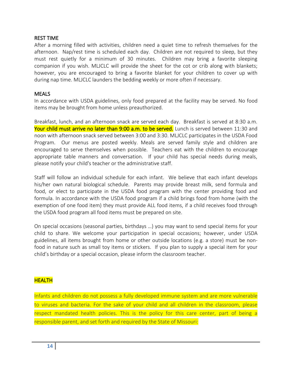#### REST TIME

After a morning filled with activities, children need a quiet time to refresh themselves for the afternoon. Nap/rest time is scheduled each day. Children are not required to sleep, but they must rest quietly for a minimum of 30 minutes. Children may bring a favorite sleeping companion if you wish. MLJCLC will provide the sheet for the cot or crib along with blankets; however, you are encouraged to bring a favorite blanket for your children to cover up with during nap time. MLJCLC launders the bedding weekly or more often if necessary.

#### **MEALS**

In accordance with USDA guidelines, only food prepared at the facility may be served. No food items may be brought from home unless preauthorized.

Breakfast, lunch, and an afternoon snack are served each day. Breakfast is served at 8:30 a.m. Your child must arrive no later than 9:00 a.m. to be served. Lunch is served between 11:30 and noon with afternoon snack served between 3:00 and 3:30. MLJCLC participates in the USDA Food Program. Our menus are posted weekly. Meals are served family style and children are encouraged to serve themselves when possible. Teachers eat with the children to encourage appropriate table manners and conversation. If your child has special needs during meals, please notify your child's teacher or the administrative staff.

Staff will follow an individual schedule for each infant. We believe that each infant develops his/her own natural biological schedule. Parents may provide breast milk, send formula and food, or elect to participate in the USDA food program with the center providing food and formula. In accordance with the USDA food program if a child brings food from home (with the exemption of one food item) they must provide ALL food items, if a child receives food through the USDA food program all food items must be prepared on site.

On special occasions (seasonal parties, birthdays …) you may want to send special items for your child to share. We welcome your participation in special occasions; however, under USDA guidelines, all items brought from home or other outside locations (e.g. a store) must be nonfood in nature such as small toy items or stickers. If you plan to supply a special item for your child's birthday or a special occasion, please inform the classroom teacher.

#### **HEALTH**

Infants and children do not possess a fully developed immune system and are more vulnerable to viruses and bacteria. For the sake of your child and all children in the classroom, please respect mandated health policies. This is the policy for this care center, part of being a responsible parent, and set forth and required by the State of Missouri: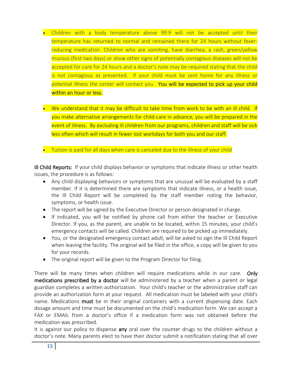- Children with a body temperature above 99.9 will not be accepted until their temperature has returned to normal and remained there for 24 hours without feverreducing medication. Children who are vomiting, have diarrhea, a rash, green/yellow mucous (first two days) or show other signs of potentially contagious diseases will not be accepted for care for 24 hours and a doctor's note may be required stating that the child is not contagious as presented. If your child must be sent home for any illness or potential illness the center will contact you. You will be expected to pick up your child within an hour or less.
- We understand that it may be difficult to take time from work to be with an ill child. If you make alternative arrangements for child-care in advance, you will be prepared in the event of illness. By excluding ill children from our programs, children and staff will be sick less often which will result in fewer lost workdays for both you and our staff.
- Tuition is paid for all days when care is canceled due to the illness of your child

Ill Child Reports: If your child displays behavior or symptoms that indicate illness or other health issues, the procedure is as follows:

- Any child displaying behaviors or symptoms that are unusual will be evaluated by a staff member. If it is determined there are symptoms that indicate illness, or a health issue, the Ill Child Report will be completed by the staff member noting the behavior, symptoms, or health issue.
- The report will be signed by the Executive Director or person designated in charge.
- If indicated, you will be notified by phone call from either the teacher or Executive Director. If you, as the parent, are unable to be located, within 15 minutes, your child's emergency contacts will be called. Children are required to be picked up immediately.
- You, or the designated emergency contact adult, will be asked to sign the Ill Child Report when leaving the facility. The original will be filed in the office, a copy will be given to you for your records.
- The original report will be given to the Program Director for filing.

There will be many times when children will require medications while in our care. Only medications prescribed by a doctor will be administered by a teacher when a parent or legal guardian completes a written authorization. Your child's teacher or the administrative staff can provide an authorization form at your request. All medication must be labeled with your child's name. Medications must be in their original containers with a current dispensing date. Each dosage amount and time must be documented on the child's medication form. We can accept a FAX or EMAIL from a doctor's office if a medication form was not obtained before the medication was prescribed.

It is against our policy to dispense any oral over the counter drugs to the children without a doctor's note. Many parents elect to have their doctor submit a notification stating that all over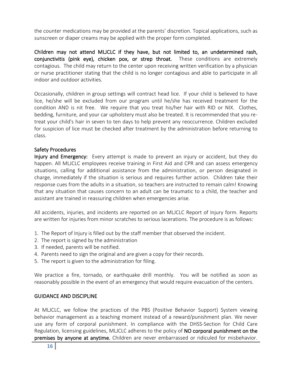the counter medications may be provided at the parents' discretion. Topical applications, such as sunscreen or diaper creams may be applied with the proper form completed.

Children may not attend MLJCLC if they have, but not limited to, an undetermined rash, conjunctivitis (pink eye), chicken pox, or strep throat. These conditions are extremely contagious. The child may return to the center upon receiving written verification by a physician or nurse practitioner stating that the child is no longer contagious and able to participate in all indoor and outdoor activities.

Occasionally, children in group settings will contract head lice. If your child is believed to have lice, he/she will be excluded from our program until he/she has received treatment for the condition AND is nit free. We require that you treat his/her hair with RID or NIX. Clothes, bedding, furniture, and your car upholstery must also be treated. It is recommended that you retreat your child's hair in seven to ten days to help prevent any reoccurrence. Children excluded for suspicion of lice must be checked after treatment by the administration before returning to class.

## Safety Procedures

Injury and Emergency: Every attempt is made to prevent an injury or accident, but they do happen. All MLJCLC employees receive training in First Aid and CPR and can assess emergency situations, calling for additional assistance from the administration, or person designated in charge, immediately if the situation is serious and requires further action. Children take their response cues from the adults in a situation, so teachers are instructed to remain calm! Knowing that any situation that causes concern to an adult can be traumatic to a child, the teacher and assistant are trained in reassuring children when emergencies arise.

All accidents, injuries, and incidents are reported on an MLJCLC Report of Injury form. Reports are written for injuries from minor scratches to serious lacerations. The procedure is as follows:

- 1. The Report of Injury is filled out by the staff member that observed the incident.
- 2. The report is signed by the administration
- 3. If needed, parents will be notified.
- 4. Parents need to sign the original and are given a copy for their records.
- 5. The report is given to the administration for filing.

We practice a fire, tornado, or earthquake drill monthly. You will be notified as soon as reasonably possible in the event of an emergency that would require evacuation of the centers.

#### GUIDANCE AND DISCIPLINE

At MLJCLC, we follow the practices of the PBS (Positive Behavior Support) System viewing behavior management as a teaching moment instead of a reward/punishment plan. We never use any form of corporal punishment. In compliance with the DHSS-Section for Child Care Regulation, licensing guidelines, MLJCLC adheres to the policy of NO corporal punishment on the premises by anyone at anytime. Children are never embarrassed or ridiculed for misbehavior.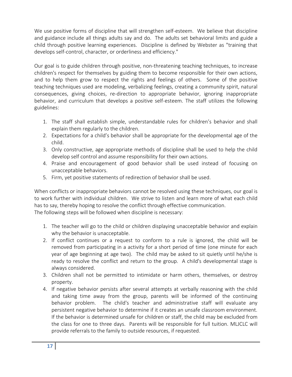We use positive forms of discipline that will strengthen self-esteem. We believe that discipline and guidance include all things adults say and do. The adults set behavioral limits and guide a child through positive learning experiences. Discipline is defined by Webster as "training that develops self-control, character, or orderliness and efficiency."

Our goal is to guide children through positive, non-threatening teaching techniques, to increase children's respect for themselves by guiding them to become responsible for their own actions, and to help them grow to respect the rights and feelings of others. Some of the positive teaching techniques used are modeling, verbalizing feelings, creating a community spirit, natural consequences, giving choices, re-direction to appropriate behavior, ignoring inappropriate behavior, and curriculum that develops a positive self-esteem. The staff utilizes the following guidelines:

- 1. The staff shall establish simple, understandable rules for children's behavior and shall explain them regularly to the children.
- 2. Expectations for a child's behavior shall be appropriate for the developmental age of the child.
- 3. Only constructive, age appropriate methods of discipline shall be used to help the child develop self control and assume responsibility for their own actions.
- 4. Praise and encouragement of good behavior shall be used instead of focusing on unacceptable behaviors.
- 5. Firm, yet positive statements of redirection of behavior shall be used.

When conflicts or inappropriate behaviors cannot be resolved using these techniques, our goal is to work further with individual children. We strive to listen and learn more of what each child has to say, thereby hoping to resolve the conflict through effective communication. The following steps will be followed when discipline is necessary:

- 1. The teacher will go to the child or children displaying unacceptable behavior and explain why the behavior is unacceptable.
- 2. If conflict continues or a request to conform to a rule is ignored, the child will be removed from participating in a activity for a short period of time (one minute for each year of age beginning at age two). The child may be asked to sit quietly until he/she is ready to resolve the conflict and return to the group. A child's developmental stage is always considered.
- 3. Children shall not be permitted to intimidate or harm others, themselves, or destroy property.
- 4. If negative behavior persists after several attempts at verbally reasoning with the child and taking time away from the group, parents will be informed of the continuing behavior problem. The child's teacher and administrative staff will evaluate any persistent negative behavior to determine if it creates an unsafe classroom environment. If the behavior is determined unsafe for children or staff, the child may be excluded from the class for one to three days. Parents will be responsible for full tuition. MLJCLC will provide referrals to the family to outside resources, if requested.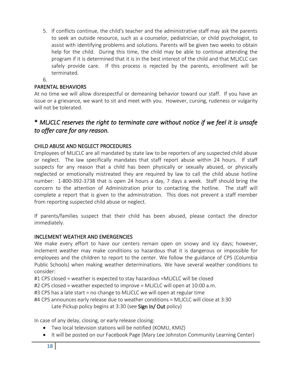5. If conflicts continue, the child's teacher and the administrative staff may ask the parents to seek an outside resource, such as a counselor, pediatrician, or child psychologist, to assist with identifying problems and solutions. Parents will be given two weeks to obtain help for the child. During this time, the child may be able to continue attending the program if it is determined that it is in the best interest of the child and that MLJCLC can safely provide care. If this process is rejected by the parents, enrollment will be terminated.

6.

## PARENTAL BEHAVIORS

At no time we will allow disrespectful or demeaning behavior toward our staff. If you have an issue or a grievance, we want to sit and meet with you. However, cursing, rudeness or vulgarity will not be tolerated.

# \* *MLJCLC reserves the right to terminate care without notice if we feel it is unsafe to offer care for any reason.*

## CHILD ABUSE AND NEGLECT PROCEDURES

Employees of MLJCLC are all mandated by state law to be reporters of any suspected child abuse or neglect. The law specifically mandates that staff report abuse within 24 hours. If staff suspects for any reason that a child has been physically or sexually abused, or physically neglected or emotionally mistreated they are required by law to call the child abuse hotline number: 1-800-392-3738 that is open 24 hours a day, 7 days a week. Staff should bring the concern to the attention of Administration prior to contacting the hotline. The staff will complete a report that is given to the administration. This does not prevent a staff member from reporting suspected child abuse or neglect.

If parents/families suspect that their child has been abused, please contact the director immediately.

## INCLEMENT WEATHER AND EMERGENCIES

We make every effort to have our centers remain open on snowy and icy days; however, inclement weather may make conditions so hazardous that it is dangerous or impossible for employees and the children to report to the center. We follow the guidance of CPS (Columbia Public Schools) when making weather determinations. We have several weather conditions to consider:

#1 CPS closed = weather is expected to stay hazardous =MLJCLC will be closed

#2 CPS closed = weather expected to improve = MLJCLC will open at 10:00 a.m.

#3 CPS has a late start = no change to MLJCLC we will open at regular time

#4 CPS announces early release due to weather conditions = MLJCLC will close at 3:30

Late Pickup policy begins at 3:30 (see Sign In/ Out policy)

In case of any delay, closing, or early release closing:

- Two local television stations will be notified (KOMU, KMIZ)
- It will be posted on our Facebook Page (Mary Lee Johnston Community Learning Center)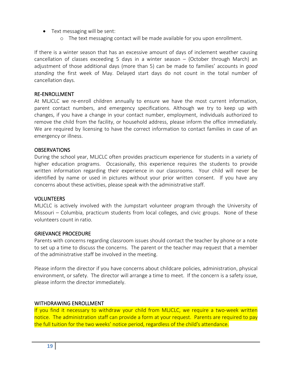- Text messaging will be sent:
	- o The text messaging contact will be made available for you upon enrollment.

If there is a winter season that has an excessive amount of days of inclement weather causing cancellation of classes exceeding 5 days in a winter season – (October through March) an adjustment of those additional days (more than 5) can be made to families' accounts in *good standing* the first week of May. Delayed start days do not count in the total number of cancellation days.

## RE-ENROLLMENT

At MLJCLC we re-enroll children annually to ensure we have the most current information, parent contact numbers, and emergency specifications. Although we try to keep up with changes, if you have a change in your contact number, employment, individuals authorized to remove the child from the facility, or household address, please inform the office immediately. We are required by licensing to have the correct information to contact families in case of an emergency or illness.

## **OBSERVATIONS**

During the school year, MLJCLC often provides practicum experience for students in a variety of higher education programs. Occasionally, this experience requires the students to provide written information regarding their experience in our classrooms. Your child will never be identified by name or used in pictures without your prior written consent. If you have any concerns about these activities, please speak with the administrative staff.

## VOLUNTEERS

MLJCLC is actively involved with the Jumpstart volunteer program through the University of Missouri – Columbia, practicum students from local colleges, and civic groups. None of these volunteers count in ratio.

## GRIEVANCE PROCEDURE

Parents with concerns regarding classroom issues should contact the teacher by phone or a note to set up a time to discuss the concerns. The parent or the teacher may request that a member of the administrative staff be involved in the meeting.

Please inform the director if you have concerns about childcare policies, administration, physical environment, or safety. The director will arrange a time to meet. If the concern is a safety issue, please inform the director immediately.

## WITHDRAWING ENROLLMENT

If you find it necessary to withdraw your child from MLJCLC, we require a two-week written notice. The administration staff can provide a form at your request. Parents are required to pay the full tuition for the two weeks' notice period, regardless of the child's attendance.